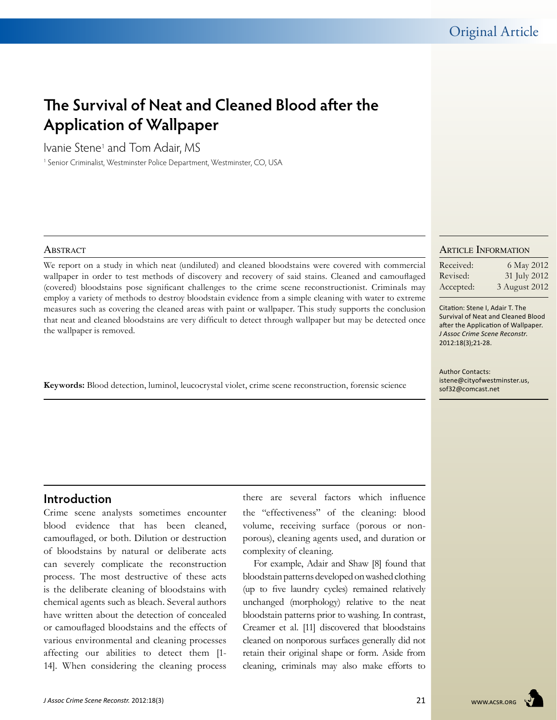# **The Survival of Neat and Cleaned Blood after the Application of Wallpaper**

Ivanie Stene1 and Tom Adair, MS

<sup>1</sup> Senior Criminalist, Westminster Police Department, Westminster, CO, USA

#### **ABSTRACT**

We report on a study in which neat (undiluted) and cleaned bloodstains were covered with commercial wallpaper in order to test methods of discovery and recovery of said stains. Cleaned and camouflaged (covered) bloodstains pose significant challenges to the crime scene reconstructionist. Criminals may employ a variety of methods to destroy bloodstain evidence from a simple cleaning with water to extreme measures such as covering the cleaned areas with paint or wallpaper. This study supports the conclusion that neat and cleaned bloodstains are very difficult to detect through wallpaper but may be detected once the wallpaper is removed.

**Keywords:** Blood detection, luminol, leucocrystal violet, crime scene reconstruction, forensic science

#### Article Information

| Received: | 6 May 2012    |
|-----------|---------------|
| Revised:  | 31 July 2012  |
| Accepted: | 3 August 2012 |

Citation: Stene I, Adair T. The Survival of Neat and Cleaned Blood after the Application of Wallpaper. *J Assoc Crime Scene Reconstr*. 2012:18(3);21-28.

Author Contacts: istene@cityofwestminster.us, sof32@comcast.net

# **Introduction**

Crime scene analysts sometimes encounter blood evidence that has been cleaned, camouflaged, or both. Dilution or destruction of bloodstains by natural or deliberate acts can severely complicate the reconstruction process. The most destructive of these acts is the deliberate cleaning of bloodstains with chemical agents such as bleach. Several authors have written about the detection of concealed or camouflaged bloodstains and the effects of various environmental and cleaning processes affecting our abilities to detect them [1- 14]. When considering the cleaning process

there are several factors which influence the "effectiveness" of the cleaning: blood volume, receiving surface (porous or nonporous), cleaning agents used, and duration or complexity of cleaning.

For example, Adair and Shaw [8] found that bloodstain patterns developed on washed clothing (up to five laundry cycles) remained relatively unchanged (morphology) relative to the neat bloodstain patterns prior to washing. In contrast, Creamer et al. [11] discovered that bloodstains cleaned on nonporous surfaces generally did not retain their original shape or form. Aside from cleaning, criminals may also make efforts to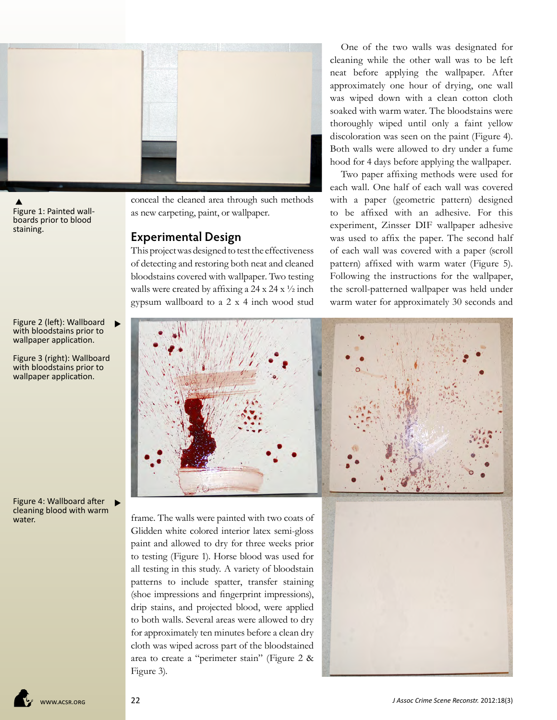

Figure 1: Painted wallboards prior to blood staining. ▲

conceal the cleaned area through such methods as new carpeting, paint, or wallpaper.

### **Experimental Design**

This project was designed to test the effectiveness of detecting and restoring both neat and cleaned bloodstains covered with wallpaper. Two testing walls were created by affixing a  $24 \times 24 \times \frac{1}{2}$  inch gypsum wallboard to a 2 x 4 inch wood stud

One of the two walls was designated for cleaning while the other wall was to be left neat before applying the wallpaper. After approximately one hour of drying, one wall was wiped down with a clean cotton cloth soaked with warm water. The bloodstains were thoroughly wiped until only a faint yellow discoloration was seen on the paint (Figure 4). Both walls were allowed to dry under a fume hood for 4 days before applying the wallpaper.

Two paper affixing methods were used for each wall. One half of each wall was covered with a paper (geometric pattern) designed to be affixed with an adhesive. For this experiment, Zinsser DIF wallpaper adhesive was used to affix the paper. The second half of each wall was covered with a paper (scroll pattern) affixed with warm water (Figure 5). Following the instructions for the wallpaper, the scroll-patterned wallpaper was held under warm water for approximately 30 seconds and

Figure 2 (left): Wallboard with bloodstains prior to wallpaper application.

Figure 3 (right): Wallboard with bloodstains prior to wallpaper application.

Figure 4: Wallboard after cleaning blood with warm water.



paint and allowed to dry for three weeks prior to testing (Figure 1). Horse blood was used for all testing in this study. A variety of bloodstain patterns to include spatter, transfer staining (shoe impressions and fingerprint impressions), drip stains, and projected blood, were applied to both walls. Several areas were allowed to dry for approximately ten minutes before a clean dry cloth was wiped across part of the bloodstained area to create a "perimeter stain" (Figure 2 & Figure 3).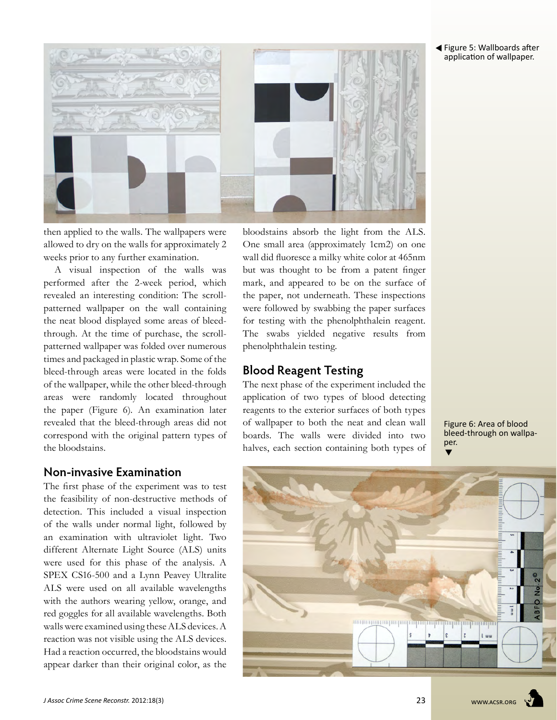Figure 5: Wallboards after application of wallpaper.



then applied to the walls. The wallpapers were allowed to dry on the walls for approximately 2 weeks prior to any further examination.

A visual inspection of the walls was performed after the 2-week period, which revealed an interesting condition: The scrollpatterned wallpaper on the wall containing the neat blood displayed some areas of bleedthrough. At the time of purchase, the scrollpatterned wallpaper was folded over numerous times and packaged in plastic wrap. Some of the bleed-through areas were located in the folds of the wallpaper, while the other bleed-through areas were randomly located throughout the paper (Figure 6). An examination later revealed that the bleed-through areas did not correspond with the original pattern types of the bloodstains.

### **Non-invasive Examination**

The first phase of the experiment was to test the feasibility of non-destructive methods of detection. This included a visual inspection of the walls under normal light, followed by an examination with ultraviolet light. Two different Alternate Light Source (ALS) units were used for this phase of the analysis. A SPEX CS16-500 and a Lynn Peavey Ultralite ALS were used on all available wavelengths with the authors wearing yellow, orange, and red goggles for all available wavelengths. Both walls were examined using these ALS devices. A reaction was not visible using the ALS devices. Had a reaction occurred, the bloodstains would appear darker than their original color, as the

bloodstains absorb the light from the ALS. One small area (approximately 1cm2) on one wall did fluoresce a milky white color at 465nm but was thought to be from a patent finger mark, and appeared to be on the surface of the paper, not underneath. These inspections were followed by swabbing the paper surfaces for testing with the phenolphthalein reagent. The swabs yielded negative results from phenolphthalein testing.

# **Blood Reagent Testing**

The next phase of the experiment included the application of two types of blood detecting reagents to the exterior surfaces of both types of wallpaper to both the neat and clean wall boards. The walls were divided into two halves, each section containing both types of

 $\blacktriangledown$ Figure 6: Area of blood bleed-through on wallpaper.

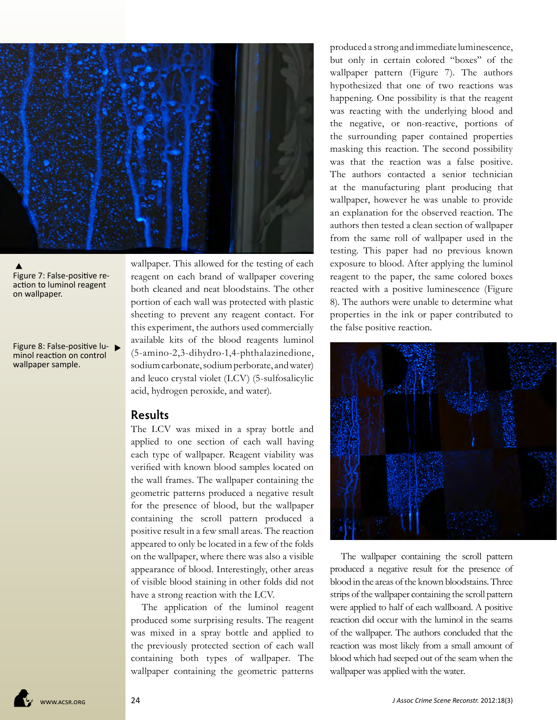

#### Figure 7: False-positive reaction to luminol reagent on wallpaper.  $\blacktriangle$

Figure 8: False-positive lu minol reaction on control wallpaper sample.

wallpaper. This allowed for the testing of each reagent on each brand of wallpaper covering both cleaned and neat bloodstains. The other portion of each wall was protected with plastic sheeting to prevent any reagent contact. For this experiment, the authors used commercially available kits of the blood reagents luminol (5-amino-2,3-dihydro-1,4-phthalazinedione, sodium carbonate, sodium perborate, and water) and leuco crystal violet (LCV) (5-sulfosalicylic acid, hydrogen peroxide, and water).

## **Results**

The LCV was mixed in a spray bottle and applied to one section of each wall having each type of wallpaper. Reagent viability was verified with known blood samples located on the wall frames. The wallpaper containing the geometric patterns produced a negative result for the presence of blood, but the wallpaper containing the scroll pattern produced a positive result in a few small areas. The reaction appeared to only be located in a few of the folds on the wallpaper, where there was also a visible appearance of blood. Interestingly, other areas of visible blood staining in other folds did not have a strong reaction with the LCV.

The application of the luminol reagent produced some surprising results. The reagent was mixed in a spray bottle and applied to the previously protected section of each wall containing both types of wallpaper. The wallpaper containing the geometric patterns

produced a strong and immediate luminescence, but only in certain colored "boxes" of the wallpaper pattern (Figure 7). The authors hypothesized that one of two reactions was happening. One possibility is that the reagent was reacting with the underlying blood and the negative, or non-reactive, portions of the surrounding paper contained properties masking this reaction. The second possibility was that the reaction was a false positive. The authors contacted a senior technician at the manufacturing plant producing that wallpaper, however he was unable to provide an explanation for the observed reaction. The authors then tested a clean section of wallpaper from the same roll of wallpaper used in the testing. This paper had no previous known exposure to blood. After applying the luminol reagent to the paper, the same colored boxes reacted with a positive luminescence (Figure 8). The authors were unable to determine what properties in the ink or paper contributed to the false positive reaction.



The wallpaper containing the scroll pattern produced a negative result for the presence of blood in the areas of the known bloodstains. Three strips of the wallpaper containing the scroll pattern were applied to half of each wallboard. A positive reaction did occur with the luminol in the seams of the wallpaper. The authors concluded that the reaction was most likely from a small amount of blood which had seeped out of the seam when the wallpaper was applied with the water.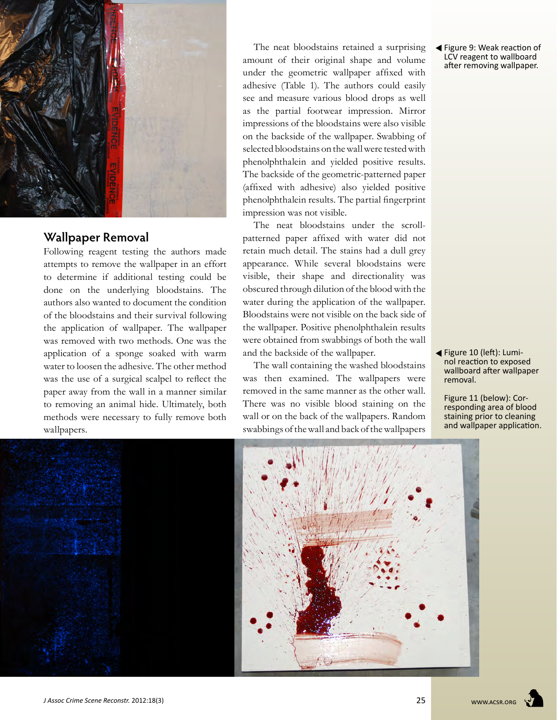

# **Wallpaper Removal**

Following reagent testing the authors made attempts to remove the wallpaper in an effort to determine if additional testing could be done on the underlying bloodstains. The authors also wanted to document the condition of the bloodstains and their survival following the application of wallpaper. The wallpaper was removed with two methods. One was the application of a sponge soaked with warm water to loosen the adhesive. The other method was the use of a surgical scalpel to reflect the paper away from the wall in a manner similar to removing an animal hide. Ultimately, both methods were necessary to fully remove both wallpapers.

The neat bloodstains retained a surprising amount of their original shape and volume under the geometric wallpaper affixed with adhesive (Table 1). The authors could easily see and measure various blood drops as well as the partial footwear impression. Mirror impressions of the bloodstains were also visible on the backside of the wallpaper. Swabbing of selected bloodstains on the wall were tested with phenolphthalein and yielded positive results. The backside of the geometric-patterned paper (affixed with adhesive) also yielded positive phenolphthalein results. The partial fingerprint impression was not visible.

The neat bloodstains under the scrollpatterned paper affixed with water did not retain much detail. The stains had a dull grey appearance. While several bloodstains were visible, their shape and directionality was obscured through dilution of the blood with the water during the application of the wallpaper. Bloodstains were not visible on the back side of the wallpaper. Positive phenolphthalein results were obtained from swabbings of both the wall and the backside of the wallpaper.

The wall containing the washed bloodstains was then examined. The wallpapers were removed in the same manner as the other wall. There was no visible blood staining on the wall or on the back of the wallpapers. Random swabbings of the wall and back of the wallpapers

 Figure 9: Weak reaction of LCV reagent to wallboard after removing wallpaper.

 Figure 10 (left): Luminol reaction to exposed wallboard after wallpaper removal.

Figure 11 (below): Corresponding area of blood staining prior to cleaning and wallpaper application.

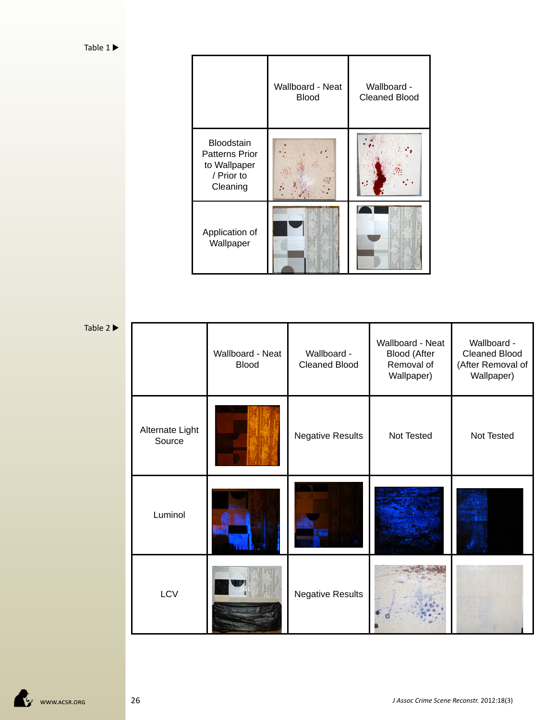|                                                                                      | Wallboard - Neat<br><b>Blood</b> | Wallboard -<br><b>Cleaned Blood</b> |
|--------------------------------------------------------------------------------------|----------------------------------|-------------------------------------|
| <b>Bloodstain</b><br><b>Patterns Prior</b><br>to Wallpaper<br>/ Prior to<br>Cleaning |                                  |                                     |
| Application of<br>Wallpaper                                                          |                                  |                                     |

Table  $2 \blacktriangleright$ 

|  |                           | Wallboard - Neat<br><b>Blood</b> | Wallboard -<br><b>Cleaned Blood</b> | Wallboard - Neat<br><b>Blood (After</b><br>Removal of<br>Wallpaper) | Wallboard -<br><b>Cleaned Blood</b><br>(After Removal of<br>Wallpaper) |
|--|---------------------------|----------------------------------|-------------------------------------|---------------------------------------------------------------------|------------------------------------------------------------------------|
|  | Alternate Light<br>Source |                                  | <b>Negative Results</b>             | Not Tested                                                          | Not Tested                                                             |
|  | Luminol                   |                                  |                                     |                                                                     |                                                                        |
|  | LCV                       |                                  | <b>Negative Results</b>             |                                                                     |                                                                        |

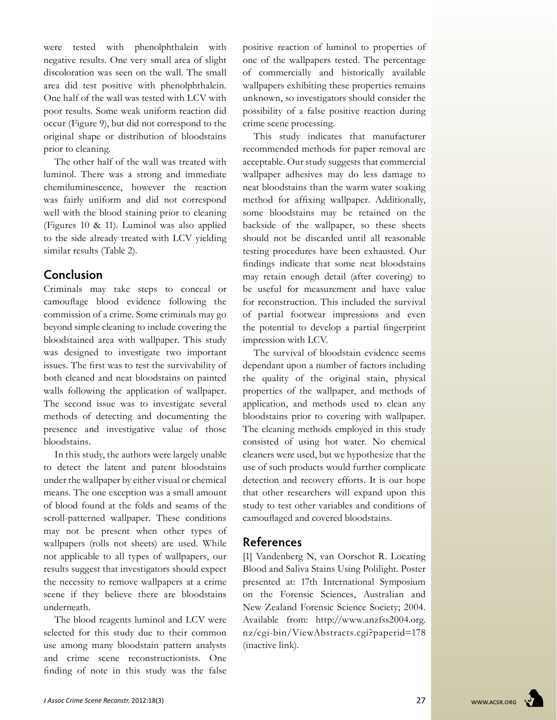were tested with phenolphthalein with negative results. One very small area of slight discoloration was seen on the wall. The small area did test positive with phenolphthalein. One half of the wall was tested with LCV with poor results. Some weak uniform reaction did occur (Figure 9), but did not correspond to the original shape or distribution of bloodstains prior to cleaning.

The other half of the wall was treated with luminol. There was a strong and immediate chemiluminescence, however the reaction was fairly uniform and did not correspond well with the blood staining prior to cleaning (Figures 10 & 11). Luminol was also applied to the side already treated with LCV yielding similar results (Table 2).

### **Conclusion**

Criminals may take steps to conceal or camouflage blood evidence following the commission of a crime. Some criminals may go beyond simple cleaning to include covering the bloodstained area with wallpaper. This study was designed to investigate two important issues. The first was to test the survivability of both cleaned and neat bloodstains on painted walls following the application of wallpaper. The second issue was to investigate several methods of detecting and documenting the presence and investigative value of those bloodstains.

In this study, the authors were largely unable to detect the latent and patent bloodstains under the wallpaper by either visual or chemical means. The one exception was a small amount of blood found at the folds and seams of the scroll-patterned wallpaper. These conditions may not be present when other types of wallpapers (rolls not sheets) are used. While not applicable to all types of wallpapers, our results suggest that investigators should expect the necessity to remove wallpapers at a crime scene if they believe there are bloodstains underneath.

The blood reagents luminol and LCV were selected for this study due to their common use among many bloodstain pattern analysts and crime scene reconstructionists. One finding of note in this study was the false

positive reaction of luminol to properties of one of the wallpapers tested. The percentage of commercially and historically available wallpapers exhibiting these properties remains unknown, so investigators should consider the possibility of a false positive reaction during crime scene processing.

This study indicates that manufacturer recommended methods for paper removal are acceptable. Our study suggests that commercial wallpaper adhesives may do less damage to neat bloodstains than the warm water soaking method for affixing wallpaper. Additionally, some bloodstains may be retained on the backside of the wallpaper, so these sheets should not be discarded until all reasonable testing procedures have been exhausted. Our findings indicate that some neat bloodstains may retain enough detail (after covering) to be useful for measurement and have value for reconstruction. This included the survival of partial footwear impressions and even the potential to develop a partial fingerprint impression with LCV.

The survival of bloodstain evidence seems dependant upon a number of factors including the quality of the original stain, physical properties of the wallpaper, and methods of application, and methods used to clean any bloodstains prior to covering with wallpaper. The cleaning methods employed in this study consisted of using hot water. No chemical cleaners were used, but we hypothesize that the use of such products would further complicate detection and recovery efforts. It is our hope that other researchers will expand upon this study to test other variables and conditions of camouflaged and covered bloodstains.

### **References**

[1] Vandenberg N, van Oorschot R. Locating Blood and Saliva Stains Using Polilight. Poster presented at: 17th International Symposium on the Forensic Sciences, Australian and New Zealand Forensic Science Society; 2004. Available from: http://www.anzfss2004.org. nz/cgi-bin/ViewAbstracts.cgi?paperid=178 (inactive link).